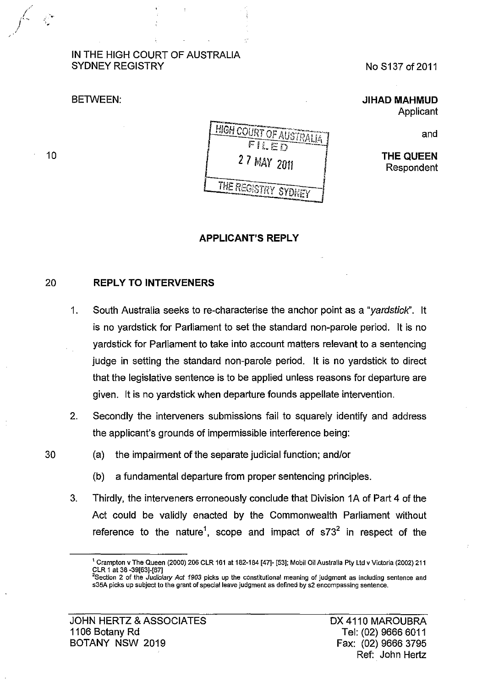## IN THE HIGH COURT OF AUSTRALIA SYDNEY REGISTRY

BETWEEN:

/ /.

10

NoS137of2011

JIHAD MAHMUD Applicant

and

THE QUEEN Respondent

| <b>HIGH COURT OF AUSTRALIA</b><br>FILED<br><b>27 MAY 2011</b> |
|---------------------------------------------------------------|
| THE REGISTRY SYDNEY                                           |

## APPLICANT'S REPLY

## 20 REPLY TO INTERVENERS

- 1. South Australia seeks to re-characterise the anchor point as a "yardstick". It is no yardstick for Parliament to set the standard non-parole period. It is no yardstick for Parliament to take into account matters relevant to a sentencing judge in setting the standard non-parole period. It is no yardstick to direct that the legislative sentence is to be applied unless reasons for departure are given. It is no yardstick when departure founds appellate intervention.
- 2. Secondly the interveners submissions fail to squarely identify and address the applicant's grounds of impermissible interference being:
- 30 (a) the impairment of the separate judicial function; and/or
	- (b) a fundamental departure from proper sentencing principles.
	- 3. Thirdly, the interveners erroneously conclude that Division 1A of Part 4 of the Act could be validly enacted by the Commonwealth Parliament without reference to the nature<sup>1</sup>, scope and impact of s73<sup>2</sup> in respect of the

 $^1$  Crampton v The Queen (2000) 206 CLR 161 at 182-184 [47]- [53]; Mobil Oil Australia Pty Ltd v Victoria (2002) 211 CLR 1 at 38 -39[63]-[67]

<sup>2</sup>Section 2 of the Judiciary Act 1903 picks up the constitutional meaning of judgment as including sentence and s35A picks up subject to the grant of special leave judgment as defined by 52 encompassing sentence.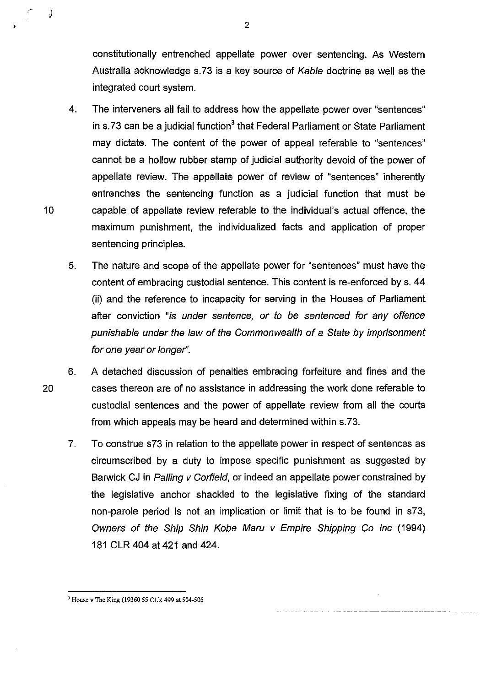constitutionally entrenched appellate power over sentencing. As Western Australia acknowledge s.73 is a key source of Kable doctrine as well as the integrated court system.

- 4. The interveners all fail to address how the appellate power over "sentences" in s.73 can be a judicial function<sup>3</sup> that Federal Parliament or State Parliament may dictate. The content of the power of appeal referable to "sentences" cannot be a hollow rubber stamp of judicial authority devoid of the power of appellate review. The appellate power of review of "sentences" inherently entrenches the sentencing function as a judicial function that must be 10 capable of appellate review referable to the individual's actual offence, the maximum punishment, the individualized facts and application of proper sentencing principles.
	- 5. The nature and scope of the appellate power for "sentences" must have the content of embracing custodial sentence. This content is re-enforced by s. 44 (ii) and the reference to incapacity for serving in the Houses of Parliament after conviction "is under sentence, or to be sentenced for any offence punishable under the law of the Commonwealth of a State by imprisonment for one year or longer".
- 6. A detached discussion of penalties embracing forfeiture and fines and the 20 cases thereon are of no assistance in addressing the work done referable to custodial sentences and the power of appellate review from all the courts from which appeals may be heard and determined within s.73.
	- 7. To construe s73 in relation to the appellate power in respect of sentences as circumscribed by a duty to impose specific punishment as suggested by Barwick CJ in Palling v Corfield, or indeed an appellate power constrained by the legislative anchor shackled to the legislative fixing of the standard non-parole period is not an implication or limit that is to be found in s73, Owners of the Ship Shin Kobe Maru v Empire Shipping Co Inc (1994) 181 CLR 404 at 421 and 424.

Ĵ

<sup>&</sup>lt;sup>3</sup> House v The King (19360 55 CLR 499 at 504-505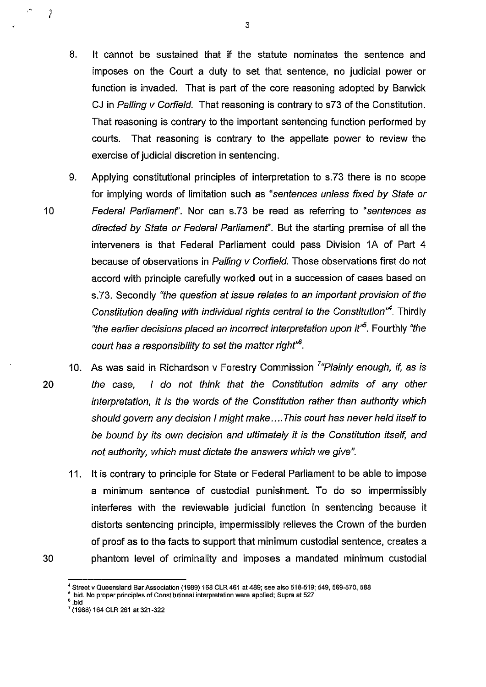- 8. **It** cannot be sustained that if the statute nominates the sentence and imposes on the Court a duty to set that sentence, no judicial power or function is invaded. That is part of the core reasoning adopted by Barwick CJ in Palling v Corfield. That reasoning is contrary to s73 of the Constitution. That reasoning is contrary to the important sentencing function performed by courts. That reasoning is contrary to the appellate power to review the exercise of judicial discretion in sentencing.
- 9. Applying constitutional principles of interpretation to s.73 there is no scope for implying words of limitation such as "sentences unless fixed by State or 10 Federal Parliament". Nor can s.73 be read as referring to "sentences as directed by State or Federal Parliamenf'. But the starting premise of all the interveners is that Federal Parliament could pass Division 1A of Part 4 because of observations in Palling v Corfield. Those observations first do not accord with principle carefully worked out in a succession of cases based on s.73. Secondly "the question at issue relates to an important provision of the Constitution dealing with individual rights central to the Constitution<sup>74</sup>. Thirdly "the earlier decisions placed an incorrect interpretation upon it<sup>,5</sup>. Fourthly "the court has a responsibility to set the matter right $\mathfrak{b}^6$ .
- 10. As was said in Richardson v Forestry Commission  $7$ "Plainly enough, if, as is 20 the case, I do not think that the Constitution admits of any other interpretation, it is the words of the Constitution rather than authority which should govern any decision I might make .. .. This court has never held itself to be bound by its own decision and ultimately it is the Constitution itself, and not authority, which must dictate the answers which we give".
- 11. **It** is contrary to principle for State or Federal Parliament to be able to impose a minimum sentence of custodial punishment. To do so impermissibly interferes with the reviewable judicial function in sentencing because it distorts sentencing principle, impermissibly relieves the Crown of the burden of proof as to the facts to support that minimum custodial sentence, creates a 30 phantom level of criminality and imposes a mandated minimum custodial

1

3

<sup>4</sup>Street v Queensland Bar Association (1989) 168 CLR 461 at 489; see also 518·519; 549, 569·570, 588

**<sup>5</sup>Ibid. No proper principles of Constitutional interpretation were applied; Supra at 527**  'Ibid

<sup>7 (1988) 164</sup> CLR 261 at 321-322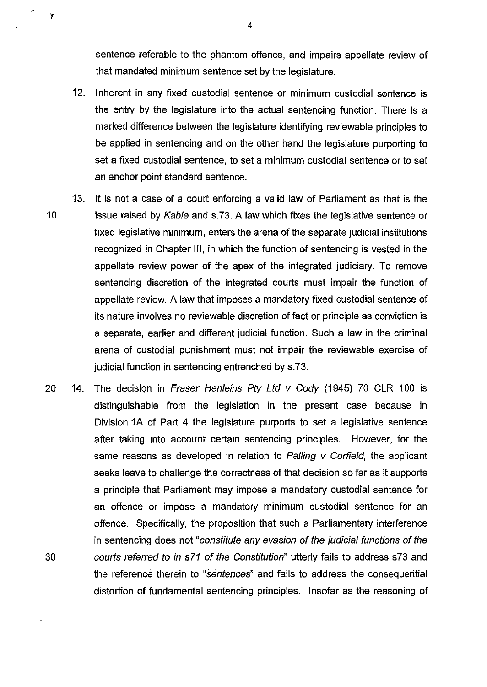sentence referable to the phantom offence, and impairs appellate review of that mandated minimum sentence set by the legislature.

- 12. Inherent in any fixed custodial sentence or minimum custodial sentence is the entry by the legislature into the actual sentencing function. There is a marked difference between the legislature identifying reviewable principles to be applied in sentencing and on the other hand the legislature purporting to set a fixed custodial sentence, to set a minimum custodial sentence or to set an anchor point standard sentence.
- 13. It is not a case of a court enforcing a valid law of Parliament as that is the 10 issue raised by Kable and s.73. A law which fixes the legislative sentence or fixed legislative minimum, enters the arena of the separate judicial institutions recognized in Chapter Ill, in which the function of sentencing is vested in the appellate review power of the apex of the integrated judiciary. To remove sentencing discretion of the integrated courts must impair the function of appellate review. A law that imposes a mandatory fixed custodial sentence of its nature involves no reviewable discretion of fact or principle as conviction is a separate, earlier and different judicial function. Such a law in the criminal arena of custodial punishment must not impair the reviewable exercise of judicial function in sentencing entrenched by s.73.
- 20 14. The decision in Fraser Henleins Pty Ltd v Cody (1945) 70 CLR 100 is distinguishable from the legislation in the present case because in Division 1A of Part 4 the legislature purports to set a legislative sentence after taking into account certain sentencing principles. However, for the same reasons as developed in relation to Palling  $v$  Corfield, the applicant seeks leave to challenge the correctness of that decision so far as it supports a principle that Parliament may impose a mandatory custodial sentence for an offence or impose a mandatory minimum custodial sentence for an offence. Specifically, the proposition that such a Parliamentary interference in sentencing does not "constitute any evasion of the judicial functions of the 30 courts referred to in s71 of the Constitution" utterly fails to address s73 and the reference therein to "sentences" and fails to address the consequential distortion of fundamental sentencing principles. Insofar as the reasoning of

 $\mathbf{r}$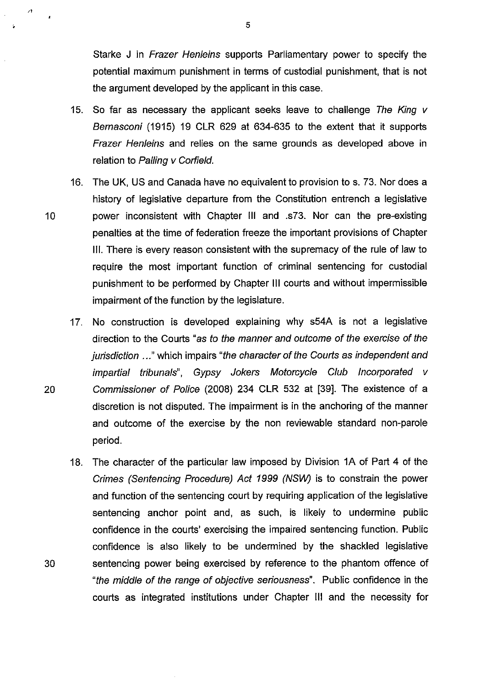Starke J in Frazer Henleins supports Parliamentary power to specify the potential maximum punishment in terms of custodial punishment, that is not the argument developed by the applicant in this case.

- 15. So far as necessary the applicant seeks leave to challenge The King  $v$ Bemasconi (1915) 19 CLR 629 at 634-635 to the extent that it supports Frazer Henleins and relies on the same grounds as developed above in relation to Palling v Corfield.
- 16. The UK, US and Canada have no equivalent to provision to s. 73. Nor does a history of legislative departure from the Constitution entrench a legislative 10 power inconsistent with Chapter **III** and .s73. Nor can the pre-existing penalties at the time of federation freeze the important provisions of Chapter Ill. There is every reason consistent with the supremacy of the rule of law to require the most important function of criminal sentencing for custodial punishment to be performed by Chapter **III** courts and without impermissible impairment of the function by the legislature.
- 17. No construction is developed explaining why s54A is not a legislative direction to the Courts "as to the manner and outcome of the exercise of the jurisdiction ..." which impairs "the character of the Courts as independent and impartial tribunals", Gypsy Jokers Motorcycle Club Incorporated v 20 Commissioner of Police (2008) 234 CLR 532 at [39]. The existence of a discretion is not disputed. The impairment is in the anchoring of the manner and outcome of the exercise by the non reviewable standard non-parole period.
- 18. The character of the particular law imposed by Division 1A of Part 4 of the Crimes (Sentencing Procedure) Act 1999 (NSW) is to constrain the power and function of the sentencing court by requiring application of the legislative sentencing anchor point and, as such, is likely to undermine public confidence in the courts' exercising the impaired sentencing function. Public confidence is also likely to be undermined by the shackled legislative 30 sentencing power being exercised by reference to the phantom offence of "the middle of the range of objective seriousness". Public confidence in the courts as integrated institutions under Chapter **III** and the necessity for

5

 $\lambda$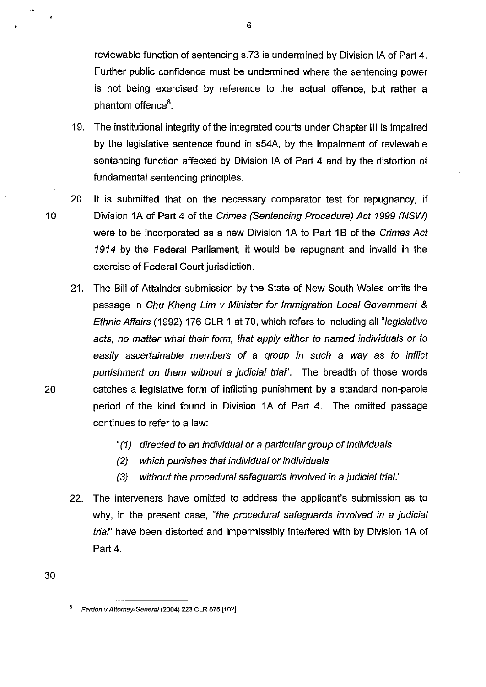reviewable function of sentencing s.73 is undermined by Division lA of Part 4. Further public confidence must be undermined where the sentencing power is not being exercised by reference to the actual offence, but rather a phantom offence<sup>8</sup>.

- 19. The institutional integrity of the integrated courts under Chapter III is impaired by the legislative sentence found in s54A, by the impairment of reviewable sentencing function affected by Division lA of Part 4 and by the distortion of fundamental sentencing principles.
- 20. It is submitted that on the necessary comparator test for repugnancy, if 10 Division 1A of Part 4 of the Crimes (Sentencing Procedure) Act 1999 (NSW) were to be incorporated as a new Division 1A to Part 1B of the Crimes Act 1914 by the Federal Parliament, it would be repugnant and invalid in the exercise of Federal Court jurisdiction.
- 21. The Bill of Attainder submission by the State of New South Wales omits the passage in Chu Kheng Lim v Minister for Immigration Local Government & Ethnic Affairs (1992) 176 CLR 1 at 70, which refers to including all "legislative acts, no matter what their form, that apply either to named individuals or to easily ascertainable members of a group in such a way as to inflict punishment on them without a judicial trial". The breadth of those words 20 catches a legislative form of inflicting punishment by a standard non-parole period of the kind found in Division 1A of Part 4. The omitted passage continues to refer to a law:
	- "(1) directed to an individual or a particular group of individuals
	- (2) which punishes that individual or individuals
	- (3) without the procedural safeguards involved in a judicial trial."
	- 22. The interveners have omitted to address the applicant's submission as to why, in the present case, "the procedural safeguards involved in a judicial trial" have been distorted and impermissibly interfered with by Division 1A of Part 4.

30

6

Fardon v Attorney-General (2004) 223 CLR 575 [102]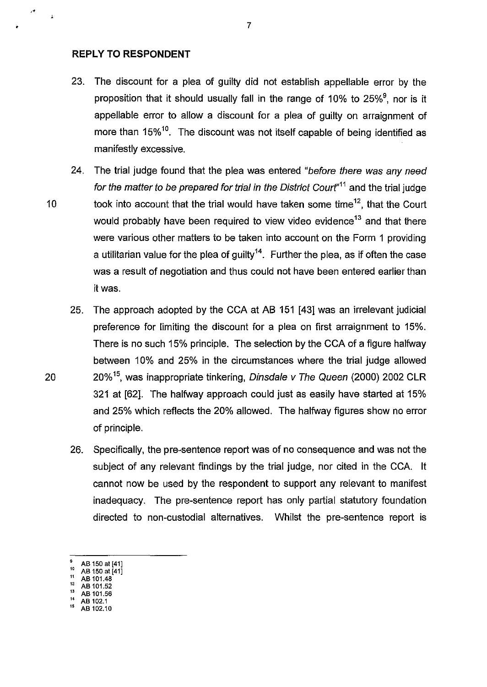## **REPLY TO RESPONDENT**

- 23. The discount for a plea of guilty did not establish appellable error by the proposition that it should usually fall in the range of 10% to  $25\%$ <sup>9</sup>, nor is it appellable error to allow a discount for a plea of guilty on arraignment of more than 15%<sup>10</sup>. The discount was not itself capable of being identified as manifestly excessive.
- 24. The trial judge found that the plea was entered "before there was any need for the matter to be prepared for trial in the District Court<sup> $n_{11}$ </sup> and the trial judge 10 took into account that the trial would have taken some time<sup>12</sup>, that the Court would probably have been required to view video evidence<sup>13</sup> and that there were various other matters to be taken into account on the Form 1 providing a utilitarian value for the plea of quilty<sup>14</sup>. Further the plea, as if often the case was a result of negotiation and thus could not have been entered earlier than it was.
- 25. The approach adopted by the CCA at AB 151 [43] was an irrelevant judicial preference for limiting the discount for a plea on first arraignment to 15%. There is no such 15% principle. The selection by the CCA of a figure halfway between 10% and 25% in the circumstances where the trial judge allowed 20 20%<sup>15</sup>, was inappropriate tinkering, *Dinsdale v The Queen* (2000) 2002 CLR 321 at [62]. The halfway approach could just as easily have started at 15% and 25% which reflects the 20% allowed. The halfway figures show no error of principle.
	- 26. Specifically, the pre-sentence report was of no consequence and was not the subject of any relevant findings by the trial judge, nor cited in the CCA. It cannot now be used by the respondent to support any relevant to manifest inadequacy. The pre-sentence report has only partial statutory foundation directed to non-custodial alternatives. Whilst the pre-sentence report is
	- <sup>9</sup> AB 150 at [41]<br><sup>10</sup> AB 150 at [41]<br><sup>11</sup> AB 101.48
	-
	-
	- $^{12}$  AB 101.52  $^{13}$  AB 101.56
	- AB 102.1
	- AB 102.10

• 7

 $\overline{a}$ 

 $\overline{A}$